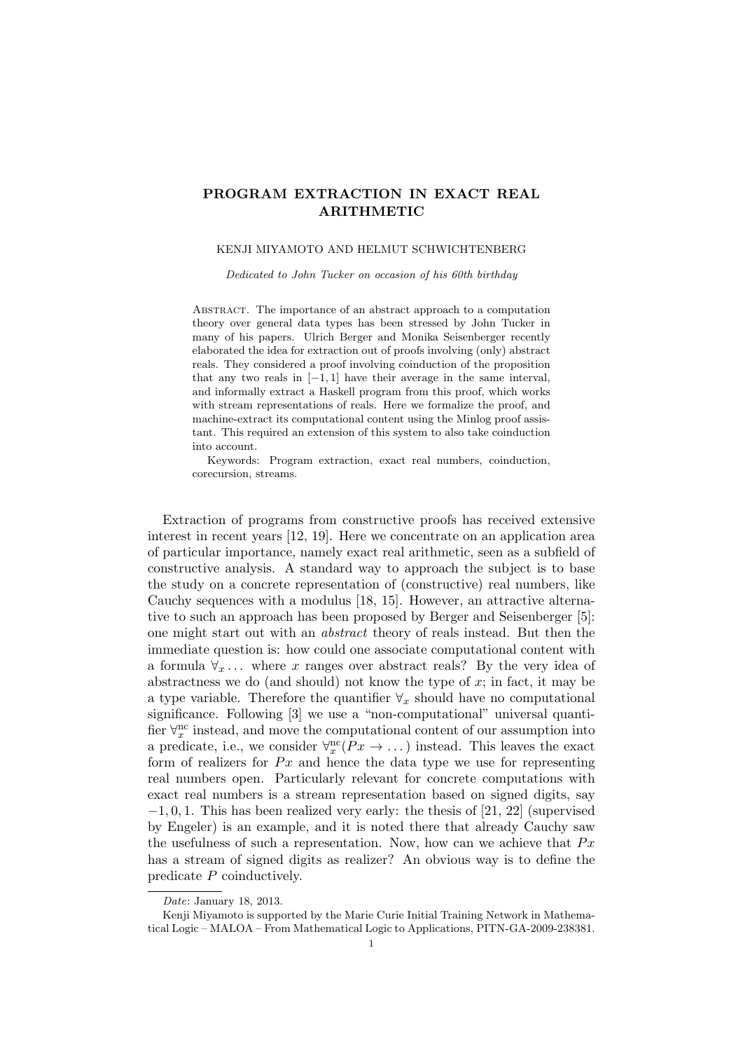# PROGRAM EXTRACTION IN EXACT REAL ARITHMETIC

#### KENJI MIYAMOTO AND HELMUT SCHWICHTENBERG

Dedicated to John Tucker on occasion of his 60th birthday

Abstract. The importance of an abstract approach to a computation theory over general data types has been stressed by John Tucker in many of his papers. Ulrich Berger and Monika Seisenberger recently elaborated the idea for extraction out of proofs involving (only) abstract reals. They considered a proof involving coinduction of the proposition that any two reals in  $[-1, 1]$  have their average in the same interval, and informally extract a Haskell program from this proof, which works with stream representations of reals. Here we formalize the proof, and machine-extract its computational content using the Minlog proof assistant. This required an extension of this system to also take coinduction into account.

Keywords: Program extraction, exact real numbers, coinduction, corecursion, streams.

Extraction of programs from constructive proofs has received extensive interest in recent years [12, 19]. Here we concentrate on an application area of particular importance, namely exact real arithmetic, seen as a subfield of constructive analysis. A standard way to approach the subject is to base the study on a concrete representation of (constructive) real numbers, like Cauchy sequences with a modulus [18, 15]. However, an attractive alternative to such an approach has been proposed by Berger and Seisenberger [5]: one might start out with an abstract theory of reals instead. But then the immediate question is: how could one associate computational content with a formula  $\forall x \dots$  where x ranges over abstract reals? By the very idea of abstractness we do (and should) not know the type of  $x$ ; in fact, it may be a type variable. Therefore the quantifier  $\forall_x$  should have no computational significance. Following [3] we use a "non-computational" universal quantifier  $\forall_x^{\text{nc}}$  instead, and move the computational content of our assumption into a predicate, i.e., we consider  $\forall_x^{\text{nc}}(Px \to \dots)$  instead. This leaves the exact form of realizers for  $Px$  and hence the data type we use for representing real numbers open. Particularly relevant for concrete computations with exact real numbers is a stream representation based on signed digits, say  $-1, 0, 1$ . This has been realized very early: the thesis of [21, 22] (supervised by Engeler) is an example, and it is noted there that already Cauchy saw the usefulness of such a representation. Now, how can we achieve that  $Px$ has a stream of signed digits as realizer? An obvious way is to define the predicate P coinductively.

Date: January 18, 2013.

Kenji Miyamoto is supported by the Marie Curie Initial Training Network in Mathematical Logic – MALOA – From Mathematical Logic to Applications, PITN-GA-2009-238381.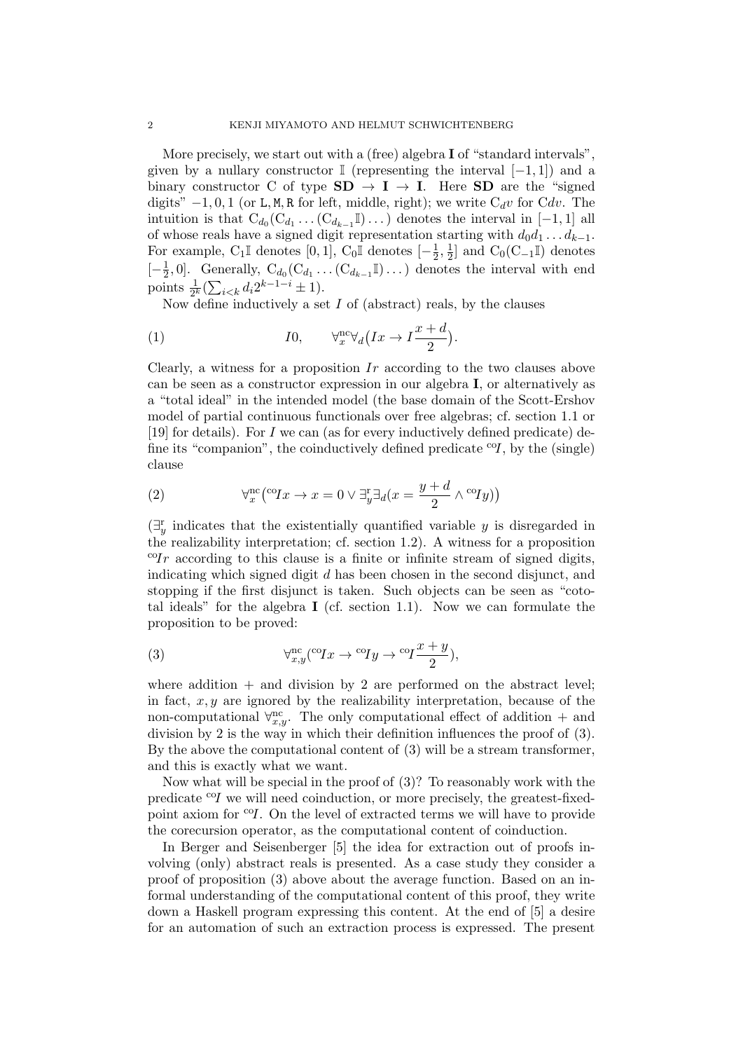More precisely, we start out with a (free) algebra **I** of "standard intervals", given by a nullary constructor I (representing the interval  $[-1, 1]$ ) and a binary constructor C of type  $SD \rightarrow I \rightarrow I$ . Here SD are the "signed" digits"  $-1, 0, 1$  (or L, M, R for left, middle, right); we write  $C_d v$  for  $C dv$ . The intuition is that  $C_{d_0}(C_{d_1} \ldots (C_{d_{k-1}}\mathbb{I}) \ldots)$  denotes the interval in [-1, 1] all of whose reals have a signed digit representation starting with  $d_0d_1 \ldots d_{k-1}$ . For example, C<sub>1</sub>I denotes  $[0,1]$ , C<sub>0</sub>I denotes  $[-\frac{1}{2}]$  $\frac{1}{2}, \frac{1}{2}$  $\frac{1}{2}$ ] and C<sub>0</sub>(C<sub>−1</sub>II) denotes  $\left[-\frac{1}{2}\right]$  $\frac{1}{2}$ , 0]. Generally,  $C_{d_0}(C_{d_1} \ldots (C_{d_{k-1}}\mathbb{I}) \ldots)$  denotes the interval with end points  $\frac{1}{2^k} (\sum_{i \le k} d_i 2^{k-1-i} \pm 1).$ 

Now define inductively a set  $I$  of (abstract) reals, by the clauses

(1) 
$$
I0, \qquad \forall_{x}^{\text{nc}} \forall_{d} \left( Ix \to I\frac{x+d}{2} \right).
$$

Clearly, a witness for a proposition  $Ir$  according to the two clauses above can be seen as a constructor expression in our algebra I, or alternatively as a "total ideal" in the intended model (the base domain of the Scott-Ershov model of partial continuous functionals over free algebras; cf. section 1.1 or [19] for details). For I we can (as for every inductively defined predicate) define its "companion", the coinductively defined predicate  $\mathcal{C}I$ , by the (single) clause

(2) 
$$
\forall_x^{\text{nc}} \left( {}^{\text{co}} Ix \to x = 0 \lor \exists_y^{\text{r}} \exists_d (x = \frac{y + d}{2} \land {}^{\text{co}} Iy) \right)
$$

 $(\exists_y^r$  indicates that the existentially quantified variable y is disregarded in the realizability interpretation; cf. section 1.2). A witness for a proposition  ${}^{\text{co}}\text{Ir}$  according to this clause is a finite or infinite stream of signed digits, indicating which signed digit  $d$  has been chosen in the second disjunct, and stopping if the first disjunct is taken. Such objects can be seen as "cototal ideals" for the algebra I (cf. section 1.1). Now we can formulate the proposition to be proved:

(3) 
$$
\forall_{x,y}^{\text{nc}}(^{\text{co}}Ix \rightarrow {}^{\text{co}}Iy \rightarrow {}^{\text{co}}I\frac{x+y}{2}),
$$

where addition  $+$  and division by 2 are performed on the abstract level; in fact,  $x, y$  are ignored by the realizability interpretation, because of the non-computational  $\forall_{x,y}^{\text{nc}}$ . The only computational effect of addition + and division by 2 is the way in which their definition influences the proof of (3). By the above the computational content of (3) will be a stream transformer, and this is exactly what we want.

Now what will be special in the proof of (3)? To reasonably work with the predicate  $^{c}$  we will need coinduction, or more precisely, the greatest-fixedpoint axiom for  $\mathcal{O}(I)$ . On the level of extracted terms we will have to provide the corecursion operator, as the computational content of coinduction.

In Berger and Seisenberger [5] the idea for extraction out of proofs involving (only) abstract reals is presented. As a case study they consider a proof of proposition (3) above about the average function. Based on an informal understanding of the computational content of this proof, they write down a Haskell program expressing this content. At the end of [5] a desire for an automation of such an extraction process is expressed. The present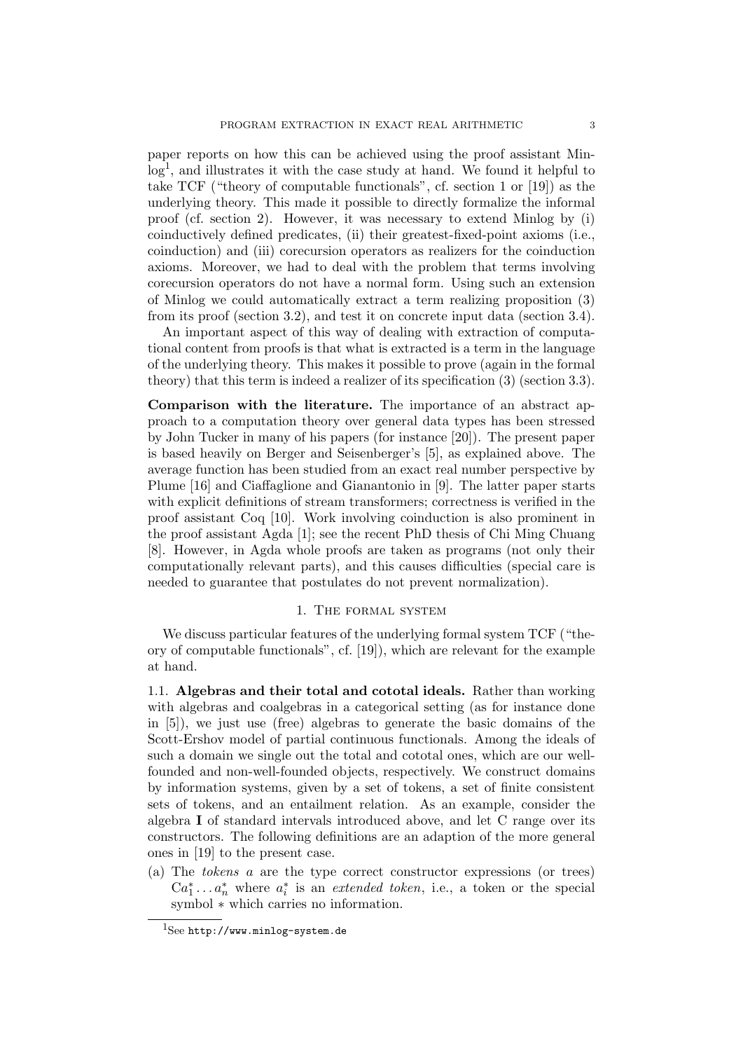paper reports on how this can be achieved using the proof assistant Minlog<sup>1</sup>, and illustrates it with the case study at hand. We found it helpful to take TCF ("theory of computable functionals", cf. section 1 or [19]) as the underlying theory. This made it possible to directly formalize the informal proof (cf. section 2). However, it was necessary to extend Minlog by (i) coinductively defined predicates, (ii) their greatest-fixed-point axioms (i.e., coinduction) and (iii) corecursion operators as realizers for the coinduction axioms. Moreover, we had to deal with the problem that terms involving corecursion operators do not have a normal form. Using such an extension of Minlog we could automatically extract a term realizing proposition (3) from its proof (section 3.2), and test it on concrete input data (section 3.4).

An important aspect of this way of dealing with extraction of computational content from proofs is that what is extracted is a term in the language of the underlying theory. This makes it possible to prove (again in the formal theory) that this term is indeed a realizer of its specification (3) (section 3.3).

Comparison with the literature. The importance of an abstract approach to a computation theory over general data types has been stressed by John Tucker in many of his papers (for instance [20]). The present paper is based heavily on Berger and Seisenberger's [5], as explained above. The average function has been studied from an exact real number perspective by Plume [16] and Ciaffaglione and Gianantonio in [9]. The latter paper starts with explicit definitions of stream transformers; correctness is verified in the proof assistant Coq [10]. Work involving coinduction is also prominent in the proof assistant Agda [1]; see the recent PhD thesis of Chi Ming Chuang [8]. However, in Agda whole proofs are taken as programs (not only their computationally relevant parts), and this causes difficulties (special care is needed to guarantee that postulates do not prevent normalization).

## 1. The formal system

We discuss particular features of the underlying formal system TCF ("theory of computable functionals", cf. [19]), which are relevant for the example at hand.

1.1. Algebras and their total and cototal ideals. Rather than working with algebras and coalgebras in a categorical setting (as for instance done in [5]), we just use (free) algebras to generate the basic domains of the Scott-Ershov model of partial continuous functionals. Among the ideals of such a domain we single out the total and cototal ones, which are our wellfounded and non-well-founded objects, respectively. We construct domains by information systems, given by a set of tokens, a set of finite consistent sets of tokens, and an entailment relation. As an example, consider the algebra I of standard intervals introduced above, and let C range over its constructors. The following definitions are an adaption of the more general ones in [19] to the present case.

(a) The tokens a are the type correct constructor expressions (or trees)  $Ca_1^*...a_n^*$  where  $a_i^*$  is an *extended token*, i.e., a token or the special symbol  $*$  which carries no information.

 $1$ See http://www.minlog-system.de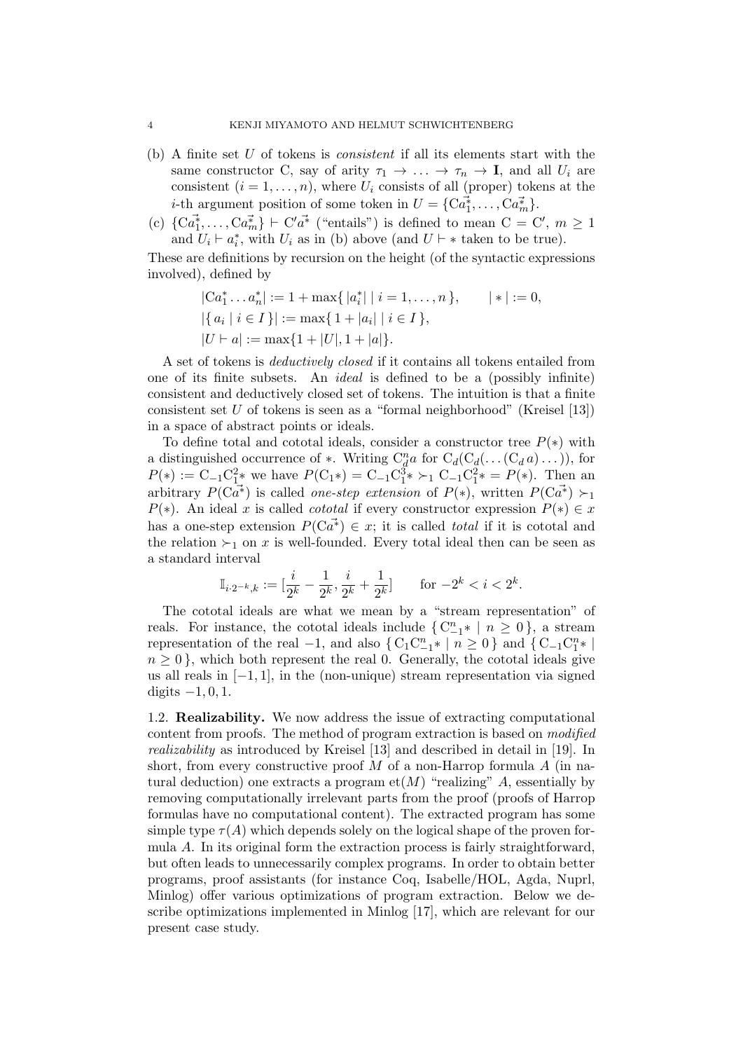- $(b)$  A finite set U of tokens is *consistent* if all its elements start with the same constructor C, say of arity  $\tau_1 \to \ldots \to \tau_n \to I$ , and all  $U_i$  are consistent  $(i = 1, \ldots, n)$ , where  $U_i$  consists of all (proper) tokens at the *i*-th argument position of some token in  $U = \{C\vec{a}_1^*, \ldots, C\vec{a}_m^*\}.$
- (c)  $\{C\vec{a}_1^*,\ldots,C\vec{a}_m^*\}\vdash C'\vec{a^*}$  ("entails") is defined to mean  $C=C', m\geq 1$ and  $U_i \vdash a_i^*$ , with  $U_i$  as in (b) above (and  $U \vdash *$  taken to be true).

These are definitions by recursion on the height (of the syntactic expressions involved), defined by

$$
|Ca_1^* \dots a_n^*| := 1 + \max\{|a_i^*| \mid i = 1, \dots, n\}, \qquad |*| := 0,
$$
  

$$
|\{a_i \mid i \in I\}| := \max\{1 + |a_i| \mid i \in I\},
$$
  

$$
|U \vdash a| := \max\{1 + |U|, 1 + |a|\}.
$$

A set of tokens is deductively closed if it contains all tokens entailed from one of its finite subsets. An ideal is defined to be a (possibly infinite) consistent and deductively closed set of tokens. The intuition is that a finite consistent set  $U$  of tokens is seen as a "formal neighborhood" (Kreisel [13]) in a space of abstract points or ideals.

To define total and cototal ideals, consider a constructor tree  $P(*)$  with a distinguished occurrence of  $*$ . Writing  $C_d^n a$  for  $C_d(C_d(\ldots(C_d a) \ldots))$ , for  $P(*) := C_{-1}C_1^2*$  we have  $P(C_1*) = C_{-1}C_1^3* \succ_1 C_{-1}C_1^2* = P(*)$ . Then an arbitrary  $P(\tilde{\mathbf{Ca}}^*)$  is called one-step extension of  $P(*)$ , written  $P(\tilde{\mathbf{Ca}}^*) \succ_{1}$  $P(*)$ . An ideal x is called cototal if every constructor expression  $P(*) \in x$ has a one-step extension  $P(\tilde{\mathbf{Ca}}^*) \in \mathbf{x}$ ; it is called *total* if it is cototal and the relation  $\succ_1$  on x is well-founded. Every total ideal then can be seen as a standard interval

$$
\mathbb{I}_{i \cdot 2^{-k},k} := [\frac{i}{2^k} - \frac{1}{2^k}, \frac{i}{2^k} + \frac{1}{2^k}] \quad \text{for } -2^k < i < 2^k.
$$

The cototal ideals are what we mean by a "stream representation" of reals. For instance, the cototal ideals include  $\{C_{-1}^{n} * | n \geq 0\}$ , a stream representation of the real  $-1$ , and also  $\{C_1C_{-1}^n * \mid n \ge 0\}$  and  $\{C_{-1}C_1^n * \mid$  $n \geq 0$ , which both represent the real 0. Generally, the cototal ideals give us all reals in  $[-1, 1]$ , in the (non-unique) stream representation via signed digits  $-1, 0, 1$ .

1.2. Realizability. We now address the issue of extracting computational content from proofs. The method of program extraction is based on modified realizability as introduced by Kreisel [13] and described in detail in [19]. In short, from every constructive proof M of a non-Harrop formula  $A$  (in natural deduction) one extracts a program  $et(M)$  "realizing" A, essentially by removing computationally irrelevant parts from the proof (proofs of Harrop formulas have no computational content). The extracted program has some simple type  $\tau(A)$  which depends solely on the logical shape of the proven formula A. In its original form the extraction process is fairly straightforward, but often leads to unnecessarily complex programs. In order to obtain better programs, proof assistants (for instance Coq, Isabelle/HOL, Agda, Nuprl, Minlog) offer various optimizations of program extraction. Below we describe optimizations implemented in Minlog [17], which are relevant for our present case study.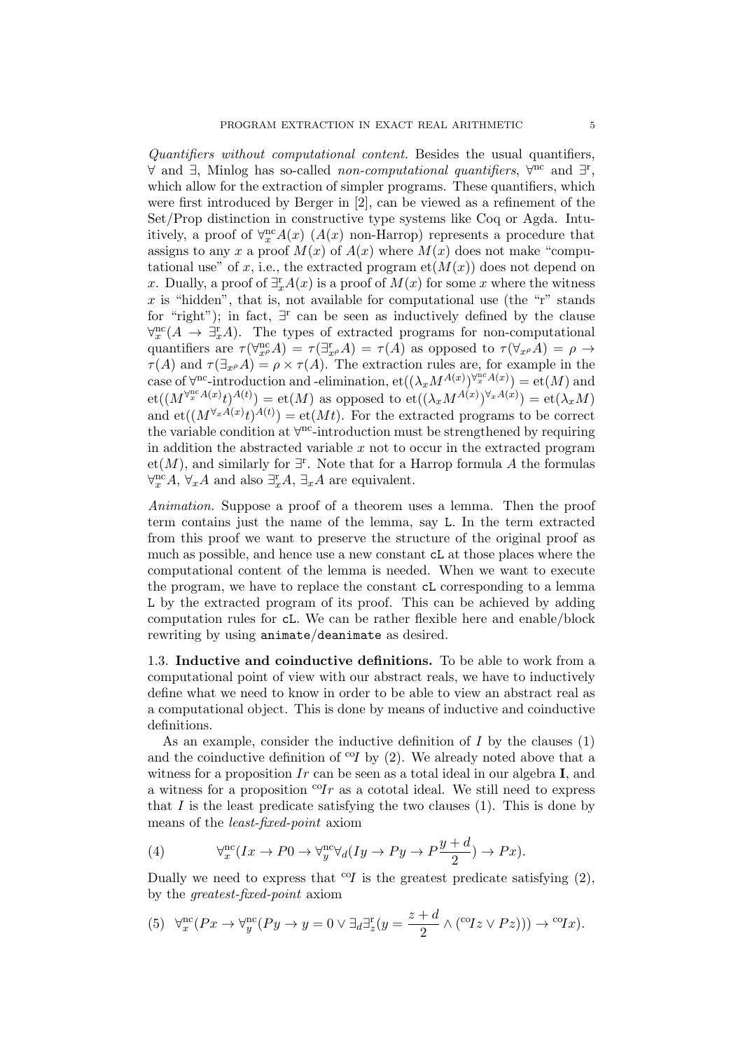Quantifiers without computational content. Besides the usual quantifiers, ∀ and ∃, Minlog has so-called *non-computational quantifiers*,  $\forall^{nc}$  and  $\exists^{r}$ , which allow for the extraction of simpler programs. These quantifiers, which were first introduced by Berger in [2], can be viewed as a refinement of the Set/Prop distinction in constructive type systems like Coq or Agda. Intuitively, a proof of  $\forall x \in A(x)$  ( $A(x)$  non-Harrop) represents a procedure that assigns to any x a proof  $M(x)$  of  $A(x)$  where  $M(x)$  does not make "computational use" of x, i.e., the extracted program  $et(M(x))$  does not depend on x. Dually, a proof of  $\exists_x^r A(x)$  is a proof of  $M(x)$  for some x where the witness  $x$  is "hidden", that is, not available for computational use (the "r" stands for "right"); in fact,  $\exists$ <sup>r</sup> can be seen as inductively defined by the clause  $\forall_x^{\text{nc}}(A \rightarrow \exists_x^{\text{r}} A)$ . The types of extracted programs for non-computational quantifiers are  $\tau(\forall_{x}^{\text{nc}}A) = \tau(\exists_{x}^{\text{r}}A) = \tau(A)$  as opposed to  $\tau(\forall_{x,\rho}A) = \rho \to$  $\tau(A)$  and  $\tau(\exists_{x} \rho A) = \rho \times \tau(A)$ . The extraction rules are, for example in the case of  $\forall^{nc}$ -introduction and -elimination,  $\operatorname{et}((\lambda_x M^{A(x)})^{\forall^{nc}_x A(x)}) = \operatorname{et}(M)$  and  $\mathrm{et}((M^{\forall x^{\alpha}A(x)}t)^{A(t)})=\mathrm{et}(M)$  as opposed to  $\mathrm{et}((\lambda_x M^{A(x)})^{\forall_x A(x)})=\mathrm{et}(\lambda_x M)$ and  $et((M^{\forall_x A(x)}t)^{A(t)}) = et(Mt)$ . For the extracted programs to be correct the variable condition at  $\forall^{\text{nc}}$ -introduction must be strengthened by requiring in addition the abstracted variable  $x$  not to occur in the extracted program et(M), and similarly for  $\exists$ <sup>r</sup>. Note that for a Harrop formula A the formulas  $\forall_x^{\text{nc}} A$ ,  $\forall_x A$  and also  $\exists_x^{\text{r}} A$ ,  $\exists_x A$  are equivalent.

Animation. Suppose a proof of a theorem uses a lemma. Then the proof term contains just the name of the lemma, say L. In the term extracted from this proof we want to preserve the structure of the original proof as much as possible, and hence use a new constant cL at those places where the computational content of the lemma is needed. When we want to execute the program, we have to replace the constant cL corresponding to a lemma L by the extracted program of its proof. This can be achieved by adding computation rules for cL. We can be rather flexible here and enable/block rewriting by using animate/deanimate as desired.

1.3. Inductive and coinductive definitions. To be able to work from a computational point of view with our abstract reals, we have to inductively define what we need to know in order to be able to view an abstract real as a computational object. This is done by means of inductive and coinductive definitions.

As an example, consider the inductive definition of I by the clauses (1) and the coinductive definition of  $^{eq}$  by (2). We already noted above that a witness for a proposition Ir can be seen as a total ideal in our algebra I, and a witness for a proposition  ${}^{c}T_r$  as a cototal ideal. We still need to express that  $I$  is the least predicate satisfying the two clauses  $(1)$ . This is done by means of the least-fixed-point axiom

(4) 
$$
\forall_x^{\text{nc}}(Ix \to P0 \to \forall_y^{\text{nc}} \forall_d (Iy \to Py \to P\frac{y+d}{2}) \to Px).
$$

Dually we need to express that  ${}^{c}q$  is the greatest predicate satisfying (2), by the greatest-fixed-point axiom

(5) 
$$
\forall_x^{\text{nc}}(Px \to \forall_y^{\text{nc}}(Py \to y = 0 \lor \exists_d \exists_z^{\text{r}}(y = \frac{z+d}{2} \land (\text{c}z \lor Pz))) \to \text{c}z
$$
.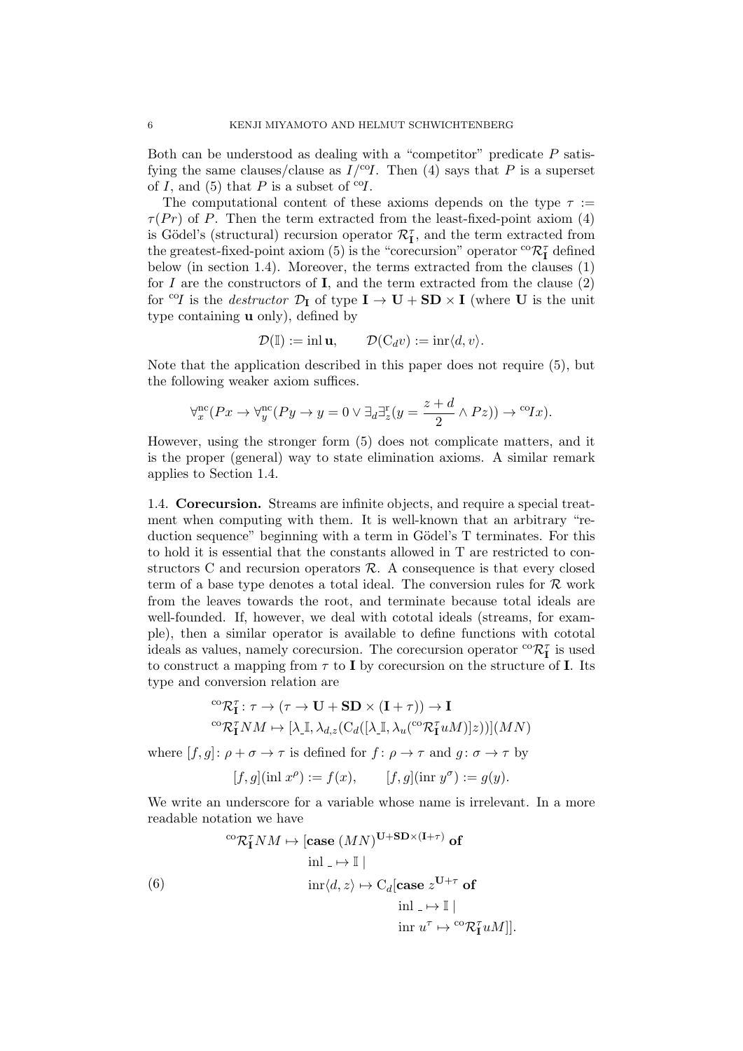Both can be understood as dealing with a "competitor" predicate  $P$  satisfying the same clauses/clause as  $I/\text{°}$ . Then (4) says that P is a superset of I, and (5) that P is a subset of  ${}^{c}q$ .

The computational content of these axioms depends on the type  $\tau :=$  $\tau(Pr)$  of P. Then the term extracted from the least-fixed-point axiom (4) is Gödel's (structural) recursion operator  $\mathcal{R}_{\textbf{I}}^{\tau}$ , and the term extracted from the greatest-fixed-point axiom (5) is the "core<br>cursion" operator  ${}^{\rm co}\mathcal R_{\rm I}^\tau$  defined below (in section 1.4). Moreover, the terms extracted from the clauses (1) for  $I$  are the constructors of  $I$ , and the term extracted from the clause  $(2)$ for <sup>co</sup>I is the *destructor*  $\mathcal{D}_{I}$  of type  $I \rightarrow U + SD \times I$  (where U is the unit type containing  $\bf{u}$  only), defined by

$$
\mathcal{D}(\mathbb{I}) := \text{inl } \mathbf{u}, \qquad \mathcal{D}(C_d v) := \text{inr}\langle d, v \rangle.
$$

Note that the application described in this paper does not require (5), but the following weaker axiom suffices.

$$
\forall_x^{\text{nc}}(Px \to \forall_y^{\text{nc}}(Py \to y = 0 \lor \exists_d \exists_z^{\text{r}}(y = \frac{z+d}{2} \land Pz)) \to {}^{\text{co}}Ix).
$$

However, using the stronger form (5) does not complicate matters, and it is the proper (general) way to state elimination axioms. A similar remark applies to Section 1.4.

1.4. Corecursion. Streams are infinite objects, and require a special treatment when computing with them. It is well-known that an arbitrary "reduction sequence" beginning with a term in Gödel's T terminates. For this to hold it is essential that the constants allowed in T are restricted to constructors C and recursion operators  $R$ . A consequence is that every closed term of a base type denotes a total ideal. The conversion rules for  $\mathcal R$  work from the leaves towards the root, and terminate because total ideals are well-founded. If, however, we deal with cototal ideals (streams, for example), then a similar operator is available to define functions with cototal ideals as values, namely corecursion. The corecursion operator  ${}^{co}\mathcal{R}^\tau_{\mathbf{I}}$  is used to construct a mapping from  $\tau$  to I by corecursion on the structure of I. Its type and conversion relation are

$$
{}^{\mathrm{co}}\mathcal{R}_{\mathbf{I}}^{\tau} : \tau \to (\tau \to \mathbf{U} + \mathbf{SD} \times (\mathbf{I} + \tau)) \to \mathbf{I}
$$

$$
{}^{\mathrm{co}}\mathcal{R}_{\mathbf{I}}^{\tau} NM \mapsto [\lambda_{\mathbf{I}}, \lambda_{d,z}(\mathrm{C}_d([\lambda_{\mathbf{I}}, \lambda_u({}^{\mathrm{co}}\mathcal{R}_{\mathbf{I}}^{\tau}uM)]z))](MN)
$$

where  $[f, g] \colon \rho + \sigma \to \tau$  is defined for  $f \colon \rho \to \tau$  and  $g \colon \sigma \to \tau$  by

$$
[f, g](\text{inl } x^{\rho}) := f(x), \qquad [f, g](\text{inr } y^{\sigma}) := g(y).
$$

We write an underscore for a variable whose name is irrelevant. In a more readable notation we have

(6)  
\n
$$
\cos \mathcal{R}_{\mathbf{I}}^{\tau} N M \mapsto [\text{case } (MN)^{\mathbf{U} + \mathbf{SD} \times (\mathbf{I} + \tau)} \text{ of } ]
$$
\n
$$
\sin \langle d, z \rangle \mapsto C_d [\text{case } z^{\mathbf{U} + \tau} \text{ of } ]
$$
\n
$$
\sin \langle d, z \rangle \mapsto \sin \langle d, z \rangle \mapsto \sin \langle d, z \rangle \text{ for } |z|
$$
\n
$$
\sin \langle u, \mathbf{U} \rangle = \cos \langle \mathbf{Q}_{\mathbf{I}}^{\tau} \mathbf{U} \rangle
$$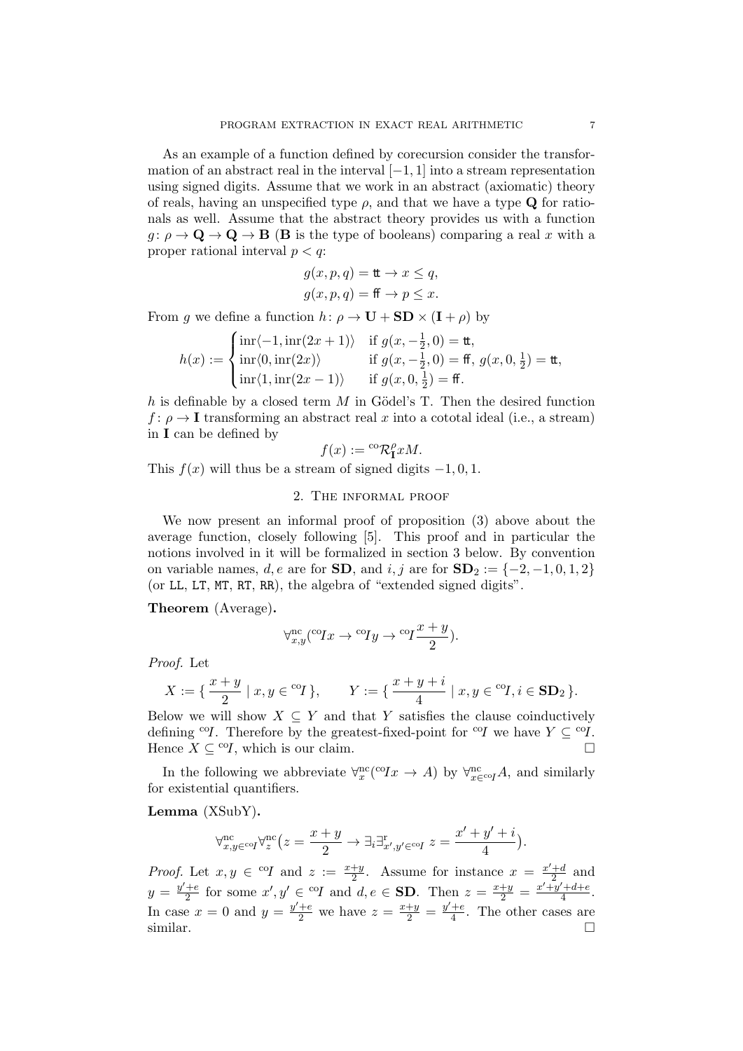As an example of a function defined by corecursion consider the transformation of an abstract real in the interval  $[-1, 1]$  into a stream representation using signed digits. Assume that we work in an abstract (axiomatic) theory of reals, having an unspecified type  $\rho$ , and that we have a type **Q** for rationals as well. Assume that the abstract theory provides us with a function  $g: \rho \to \mathbf{Q} \to \mathbf{Q} \to \mathbf{B}$  (**B** is the type of booleans) comparing a real x with a proper rational interval  $p < q$ :

$$
g(x, p, q) = \mathbf{t} \to x \leq q,
$$
  

$$
g(x, p, q) = \mathbf{f} \to p \leq x.
$$

From g we define a function  $h: \rho \to \mathbf{U} + \mathbf{SD} \times (\mathbf{I} + \rho)$  by

$$
h(x) := \begin{cases} \inf \langle -1, \inf(2x+1) \rangle & \text{if } g(x, -\frac{1}{2}, 0) = \text{tt}, \\ \inf \langle 0, \inf(2x) \rangle & \text{if } g(x, -\frac{1}{2}, 0) = \text{ff}, g(x, 0, \frac{1}{2}) = \text{tt}, \\ \inf \langle 1, \inf(2x-1) \rangle & \text{if } g(x, 0, \frac{1}{2}) = \text{ff}. \end{cases}
$$

 $h$  is definable by a closed term  $M$  in Gödel's T. Then the desired function  $f: \rho \to \mathbf{I}$  transforming an abstract real x into a cototal ideal (i.e., a stream) in I can be defined by

$$
f(x):={}^{\mathrm{co}}\mathcal{R}_\mathbf{I}^\rho xM.
$$

This  $f(x)$  will thus be a stream of signed digits  $-1, 0, 1$ .

### 2. The informal proof

We now present an informal proof of proposition (3) above about the average function, closely following [5]. This proof and in particular the notions involved in it will be formalized in section 3 below. By convention on variable names, d, e are for **SD**, and i, j are for  $\text{SD}_2 := \{-2, -1, 0, 1, 2\}$ (or LL, LT, MT, RT, RR), the algebra of "extended signed digits".

Theorem (Average).

$$
\forall_{x,y}^{\text{nc}}(^{\text{co}}Ix \rightarrow {^{\text{co}}Iy} \rightarrow {^{\text{co}}I}\frac{x+y}{2}).
$$

Proof. Let

$$
X:=\{\,\frac{x+y}{2}\mid x,y\in {}^{\mathrm{co}}\! I\,\},\qquad Y:=\{\,\frac{x+y+i}{4}\mid x,y\in {}^{\mathrm{co}}\! I,i\in\mathbf{SD}_2\,\}.
$$

Below we will show  $X \subseteq Y$  and that Y satisfies the clause coinductively defining <sup>co</sup>I. Therefore by the greatest-fixed-point for <sup>co</sup>I we have  $Y \subset C^{\text{O}}I$ . Hence  $X \subseteq {}^{co}I$ , which is our claim.

In the following we abbreviate  $\forall_x^{\text{nc}}({}^{\text{co}} Ix \to A)$  by  $\forall_{x \in {}^{\text{co}} I}^{\text{nc}}A$ , and similarly for existential quantifiers.

Lemma (XSubY).

$$
\forall_{x,y \in \text{coI}}^{\text{nc}} \forall_z^{\text{nc}} \left( z = \frac{x+y}{2} \to \exists_i \exists_{x',y' \in \text{coI}}^{\text{r}} \ z = \frac{x' + y' + i}{4} \right).
$$

*Proof.* Let  $x, y \in {}^{co}I$  and  $z := \frac{x+y}{2}$  $\frac{+y}{2}$ . Assume for instance  $x = \frac{x'+d}{2}$  $rac{+d}{2}$  and  $y = \frac{y'+e}{2}$  $\frac{+e}{2}$  for some  $x', y' \in {}^{co}I$  and  $d, e \in$  **SD**. Then  $z = \frac{x+y}{2} = \frac{x'+y'+d+e}{4}$  $\frac{a+1}{4}$ . In case  $x = 0$  and  $y = \frac{y'+e}{2}$  we have  $z = \frac{x+y}{2} = \frac{y'+e}{4}$  $\frac{+e}{4}$ . The other cases are similar.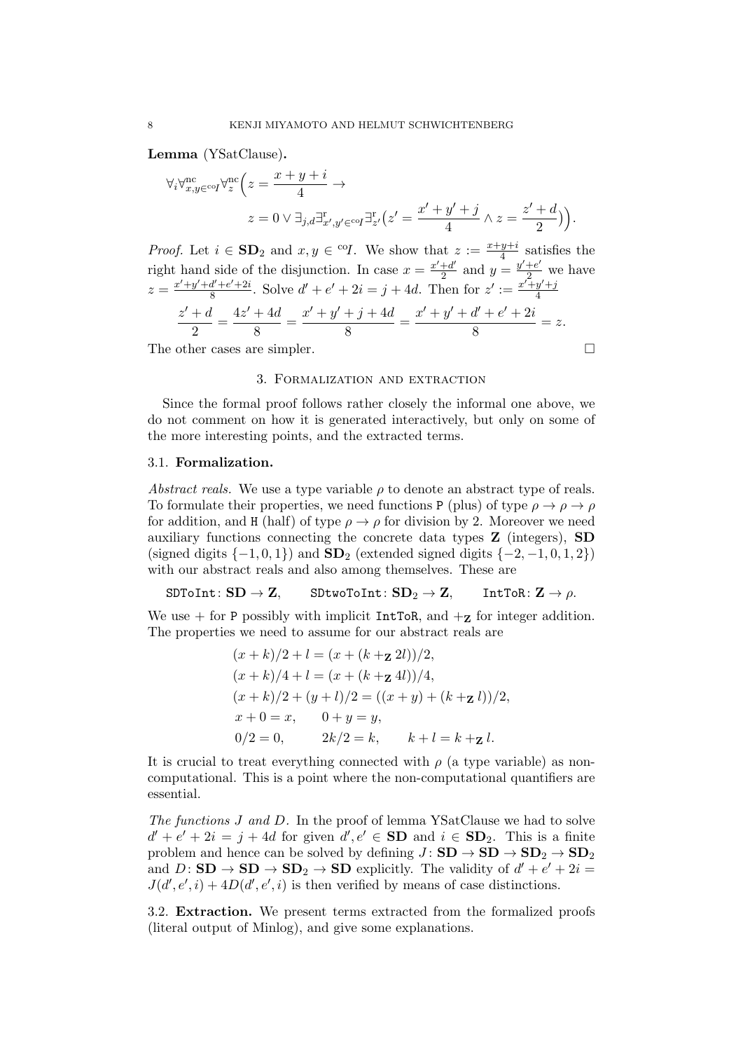Lemma (YSatClause).

$$
\begin{aligned} \forall_i \forall_{x,y \in \text{coI}}^{\text{nc}} \forall_z^{\text{nc}} \Big( z = \frac{x+y+i}{4} \to \\ z = 0 \lor \exists_{j,d} \exists_{x',y' \in \text{coI}}^{\text{rc}} \exists_{z'}^{\text{rc}} \Big( z' = \frac{x' + y' + j}{4} \land z = \frac{z' + d}{2} \Big) \Big). \end{aligned}
$$

*Proof.* Let  $i \in SD_2$  and  $x, y \in {}^{co}I$ . We show that  $z := \frac{x+y+i}{4}$  $\frac{y+i}{4}$  satisfies the right hand side of the disjunction. In case  $x = \frac{x' + d'}{2}$  $\frac{+d'}{2}$  and  $y = \frac{y'+e'}{2}$  we have  $z = \frac{x'+y'+d'+e'+2i}{8}$  $\frac{d'+e'+2i}{8}$ . Solve  $d'+e'+2i = j+4d$ . Then for  $z' := \frac{x'+y'+j}{4}$ 4

$$
\frac{z'+d}{2} = \frac{4z'+4d}{8} = \frac{x'+y'+j+4d}{8} = \frac{x'+y'+d'+e'+2i}{8} = z.
$$

The other cases are simpler.

## 3. Formalization and extraction

Since the formal proof follows rather closely the informal one above, we do not comment on how it is generated interactively, but only on some of the more interesting points, and the extracted terms.

## 3.1. Formalization.

Abstract reals. We use a type variable  $\rho$  to denote an abstract type of reals. To formulate their properties, we need functions P (plus) of type  $\rho \to \rho \to \rho$ for addition, and H (half) of type  $\rho \rightarrow \rho$  for division by 2. Moreover we need auxiliary functions connecting the concrete data types Z (integers), SD (signed digits  $\{-1, 0, 1\}$ ) and  $SD_2$  (extended signed digits  $\{-2, -1, 0, 1, 2\}$ ) with our abstract reals and also among themselves. These are

# $\texttt{SDToInt}: \textbf{SD} \to \textbf{Z}, \quad \texttt{SDtwoToInt}: \textbf{SD}_2 \to \textbf{Z}, \quad \texttt{IntToR}: \textbf{Z} \to \rho.$

We use  $+$  for P possibly with implicit IntToR, and  $+$ **z** for integer addition. The properties we need to assume for our abstract reals are

$$
(x + k)/2 + l = (x + (k + z 2l))/2,
$$
  
\n
$$
(x + k)/4 + l = (x + (k + z 4l))/4,
$$
  
\n
$$
(x + k)/2 + (y + l)/2 = ((x + y) + (k + z l))/2,
$$
  
\n
$$
x + 0 = x, \t 0 + y = y,
$$
  
\n
$$
0/2 = 0, \t 2k/2 = k, \t k + l = k + z l.
$$

It is crucial to treat everything connected with  $\rho$  (a type variable) as noncomputational. This is a point where the non-computational quantifiers are essential.

The functions J and D. In the proof of lemma YSatClause we had to solve  $d' + e' + 2i = j + 4d$  for given  $d', e' \in SD$  and  $i \in SD_2$ . This is a finite problem and hence can be solved by defining  $J:$   $SD \rightarrow SD \rightarrow SD_2 \rightarrow SD_2$ and  $D:$   $SD \rightarrow SD \rightarrow SD_2 \rightarrow SD$  explicitly. The validity of  $d' + e' + 2i =$  $J(d', e', i) + 4D(d', e', i)$  is then verified by means of case distinctions.

3.2. Extraction. We present terms extracted from the formalized proofs (literal output of Minlog), and give some explanations.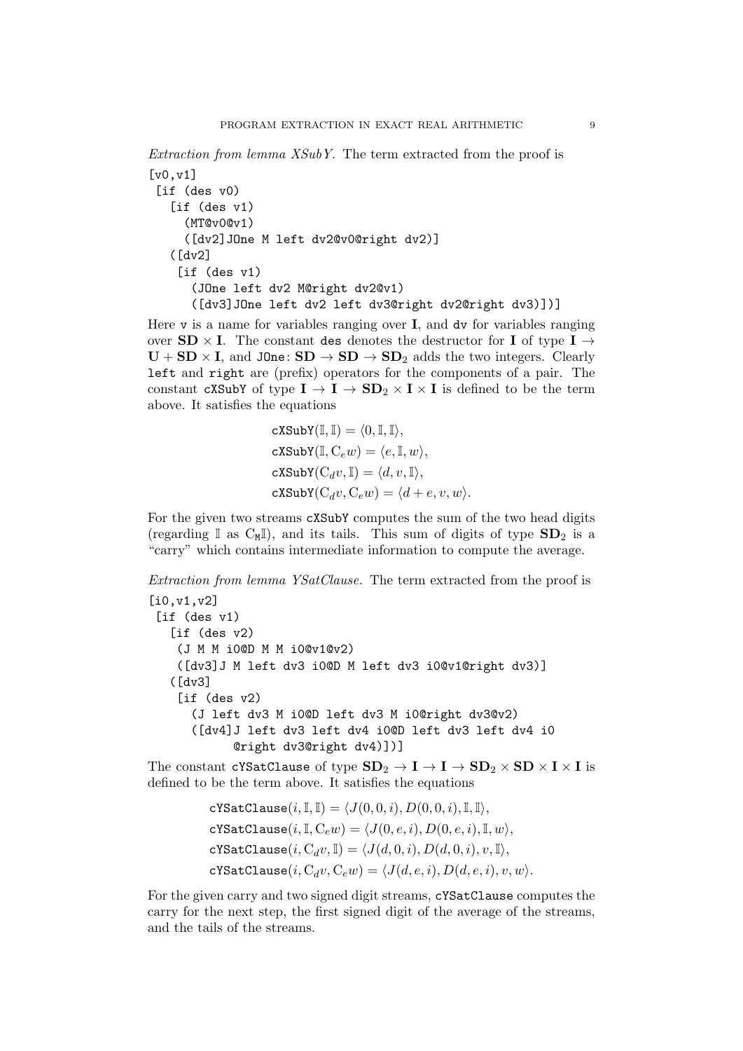```
Extraction from lemma XSubY. The term extracted from the proof is
\lceil v0, v1 \rceil[if (des v0)
   [if (des v1)
     (MT@v0@v1)
     ([dv2]JOne M left dv2@v0@right dv2)]
   (Idv2][if (des v1)](JOne left dv2 M@right dv2@v1)
      ([dv3]JOne left dv2 left dv3@right dv2@right dv3)])]
```
Here  $\nu$  is a name for variables ranging over **I**, and dv for variables ranging over  $SD \times I$ . The constant des denotes the destructor for I of type I  $\rightarrow$  $U + SD \times I$ , and J0ne:  $SD \rightarrow SD \rightarrow SD_2$  adds the two integers. Clearly left and right are (prefix) operators for the components of a pair. The constant cXSubY of type  $I \to I \to SD_2 \times I \times I$  is defined to be the term above. It satisfies the equations

$$
\begin{aligned} &\texttt{cXSubY}(\mathbb{I},\mathbb{I})=\langle 0,\mathbb{I},\mathbb{I}\rangle,\\ &\texttt{cXSubY}(\mathbb{I},\mathbf{C}_ew)=\langle e,\mathbb{I},w\rangle,\\ &\texttt{cXSubY}(\mathbf{C}_dv,\mathbb{I})=\langle d,v,\mathbb{I}\rangle,\\ &\texttt{cXSubY}(\mathbf{C}_dv,\mathbf{C}_ew)=\langle d+e,v,w\rangle. \end{aligned}
$$

For the given two streams cXSubY computes the sum of the two head digits (regarding  $\mathbb{I}$  as  $C_M\mathbb{I}$ ), and its tails. This sum of digits of type  $SD_2$  is a "carry" which contains intermediate information to compute the average.

Extraction from lemma YSatClause. The term extracted from the proof is

```
[i0,v1,v2]
[if (des v1)
  [if (des v2)](J M M i0@D M M i0@v1@v2)
   ([dv3]J M left dv3 i0@D M left dv3 i0@v1@right dv3)]
   ([dv3]
    [if (des v2)
      (J left dv3 M i0@D left dv3 M i0@right dv3@v2)
      ([dv4]J left dv3 left dv4 i0@D left dv3 left dv4 i0
            @right dv3@right dv4)])]
```
The constant cYSatClause of type  $SD_2 \rightarrow I \rightarrow I \rightarrow SD_2 \times SD \times I \times I$  is defined to be the term above. It satisfies the equations

> cYSatClause $(i, \mathbb{I}, \mathbb{I}) = \langle J(0, 0, i), D(0, 0, i), \mathbb{I}, \mathbb{I} \rangle,$ cYSatClause $(i, \mathbb{I}, C_e w) = \langle J(0, e, i), D(0, e, i), \mathbb{I}, w \rangle,$ cYSatClause $(i, C_d v, I) = \langle J(d, 0, i), D(d, 0, i), v, I \rangle,$ cYSatClause $(i, C_d v, C_e w) = \langle J(d, e, i), D(d, e, i), v, w \rangle$ .

For the given carry and two signed digit streams, cYSatClause computes the carry for the next step, the first signed digit of the average of the streams, and the tails of the streams.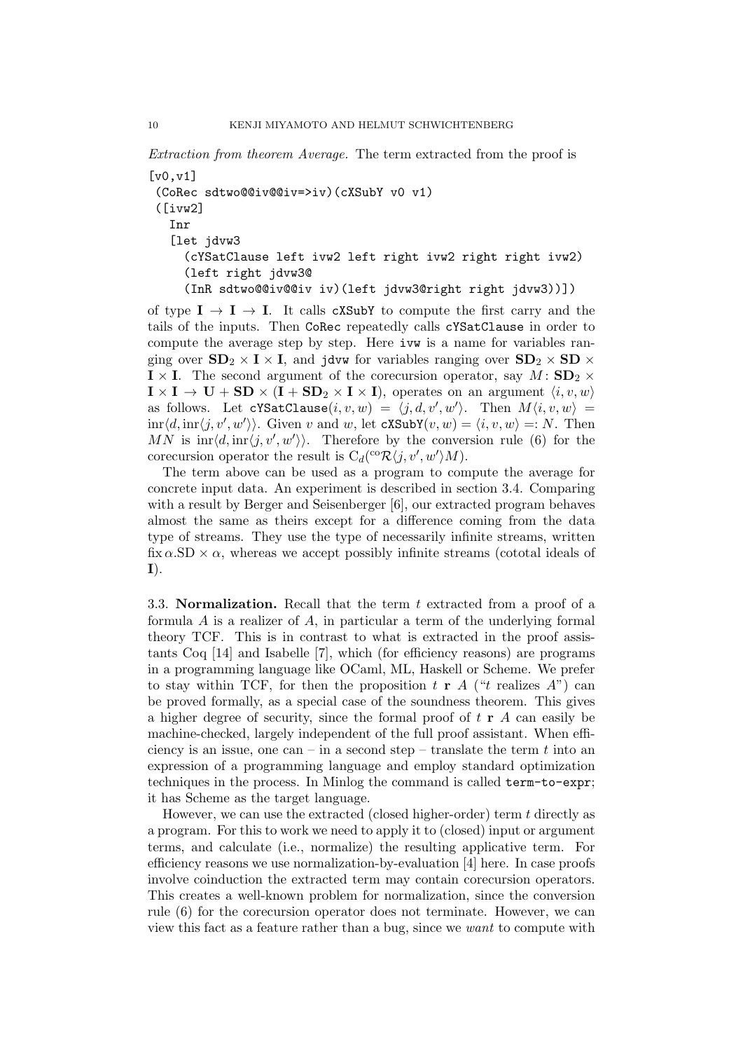Extraction from theorem Average. The term extracted from the proof is

[v0,v1] (CoRec sdtwo@@iv@@iv=>iv)(cXSubY v0 v1) ([ivw2] Inr [let jdvw3 (cYSatClause left ivw2 left right ivw2 right right ivw2) (left right jdvw3@ (InR sdtwo@@iv@@iv iv)(left jdvw3@right right jdvw3))])

of type  $I \rightarrow I \rightarrow I$ . It calls cXSubY to compute the first carry and the tails of the inputs. Then CoRec repeatedly calls cYSatClause in order to compute the average step by step. Here ivw is a name for variables ranging over  $SD_2 \times I \times I$ , and jdvw for variables ranging over  $SD_2 \times SD \times I$  $\mathbf{I} \times \mathbf{I}$ . The second argument of the corecursion operator, say  $M : SD_2 \times$  $\mathbf{I} \times \mathbf{I} \to \mathbf{U} + \mathbf{SD} \times (\mathbf{I} + \mathbf{SD}_2 \times \mathbf{I} \times \mathbf{I}),$  operates on an argument  $\langle i, v, w \rangle$ as follows. Let  $cYSatClause(i, v, w) = \langle j, d, v', w' \rangle$ . Then  $M\langle i, v, w \rangle =$  $\text{inr}\langle d, \text{inr}\langle j, v', w' \rangle\rangle$ . Given v and w, let  $\text{c}$ XSubY $(v, w) = \langle i, v, w \rangle =: N$ . Then MN is  $\inf\langle d, \overline{\inf\langle j, v', w'\rangle}\rangle$ . Therefore by the conversion rule (6) for the corecursion operator the result is  $C_d({}^{co}\mathcal{R}\langle j, v', w'\rangle M)$ .

The term above can be used as a program to compute the average for concrete input data. An experiment is described in section 3.4. Comparing with a result by Berger and Seisenberger [6], our extracted program behaves almost the same as theirs except for a difference coming from the data type of streams. They use the type of necessarily infinite streams, written  $fix \alpha$ .SD  $\times \alpha$ , whereas we accept possibly infinite streams (cototal ideals of I).

3.3. **Normalization.** Recall that the term  $t$  extracted from a proof of a formula A is a realizer of A, in particular a term of the underlying formal theory TCF. This is in contrast to what is extracted in the proof assistants Coq [14] and Isabelle [7], which (for efficiency reasons) are programs in a programming language like OCaml, ML, Haskell or Scheme. We prefer to stay within TCF, for then the proposition t **r** A ("t realizes A") can be proved formally, as a special case of the soundness theorem. This gives a higher degree of security, since the formal proof of  $t \, \mathbf{r}$  A can easily be machine-checked, largely independent of the full proof assistant. When efficiency is an issue, one can – in a second step – translate the term  $t$  into an expression of a programming language and employ standard optimization techniques in the process. In Minlog the command is called term-to-expr; it has Scheme as the target language.

However, we can use the extracted (closed higher-order) term t directly as a program. For this to work we need to apply it to (closed) input or argument terms, and calculate (i.e., normalize) the resulting applicative term. For efficiency reasons we use normalization-by-evaluation [4] here. In case proofs involve coinduction the extracted term may contain corecursion operators. This creates a well-known problem for normalization, since the conversion rule (6) for the corecursion operator does not terminate. However, we can view this fact as a feature rather than a bug, since we want to compute with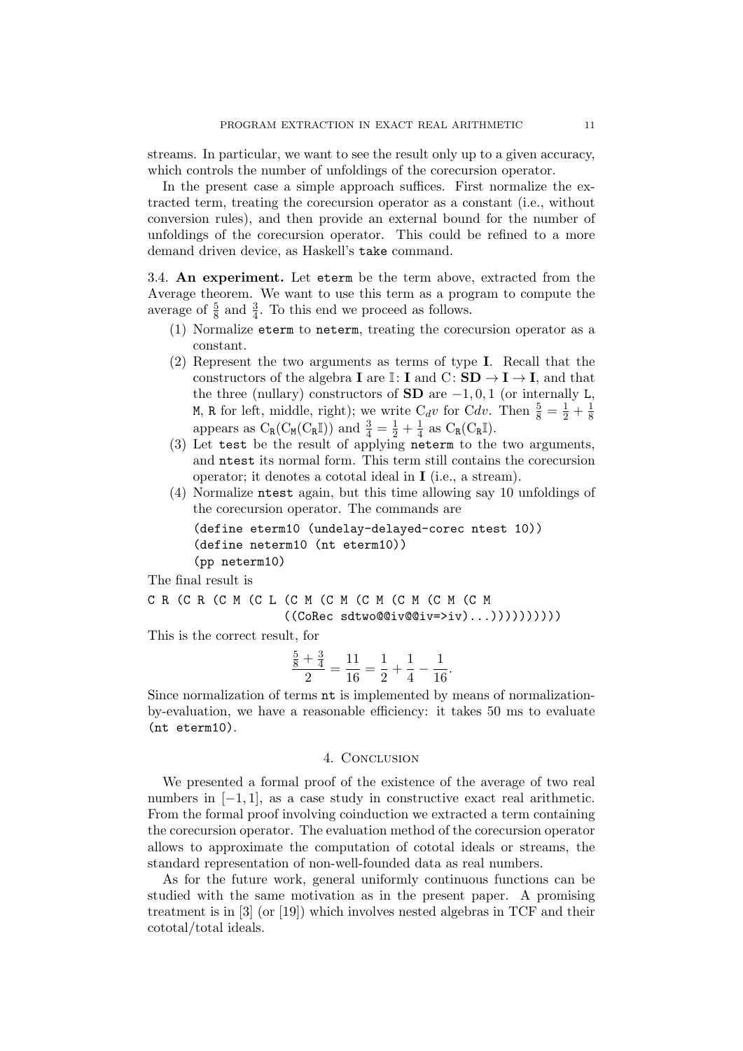streams. In particular, we want to see the result only up to a given accuracy, which controls the number of unfoldings of the corecursion operator.

In the present case a simple approach suffices. First normalize the extracted term, treating the corecursion operator as a constant (i.e., without conversion rules), and then provide an external bound for the number of unfoldings of the corecursion operator. This could be refined to a more demand driven device, as Haskell's take command.

3.4. An experiment. Let eterm be the term above, extracted from the Average theorem. We want to use this term as a program to compute the average of  $\frac{5}{8}$  and  $\frac{3}{4}$ . To this end we proceed as follows.

- (1) Normalize eterm to neterm, treating the corecursion operator as a constant.
- (2) Represent the two arguments as terms of type I. Recall that the constructors of the algebra **I** are I: **I** and C:  $SD \rightarrow I \rightarrow I$ , and that the three (nullary) constructors of  $SD$  are  $-1, 0, 1$  (or internally L, M, R for left, middle, right); we write  $C_d v$  for  $C dv$ . Then  $\frac{5}{8} = \frac{1}{2} + \frac{1}{8}$ 8 appears as  $C_R(C_M(C_R\mathbb{I}))$  and  $\frac{3}{4} = \frac{1}{2} + \frac{1}{4}$  $\frac{1}{4}$  as  $C_R(C_R\mathbb{I}).$
- (3) Let test be the result of applying neterm to the two arguments, and ntest its normal form. This term still contains the corecursion operator; it denotes a cototal ideal in I (i.e., a stream).
- (4) Normalize ntest again, but this time allowing say 10 unfoldings of the corecursion operator. The commands are

```
(define eterm10 (undelay-delayed-corec ntest 10))
(define neterm10 (nt eterm10))
(pp neterm10)
```
The final result is

```
C R (C R (C M (C L (C M (C M (C M (C M (C M (C M
                    ((\text{CoRec sdtwo@div@div=>iv)...))))))))
```
This is the correct result, for

$$
\frac{\frac{5}{8} + \frac{3}{4}}{2} = \frac{11}{16} = \frac{1}{2} + \frac{1}{4} - \frac{1}{16}.
$$

Since normalization of terms nt is implemented by means of normalizationby-evaluation, we have a reasonable efficiency: it takes 50 ms to evaluate (nt eterm10).

## 4. CONCLUSION

We presented a formal proof of the existence of the average of two real numbers in  $[-1, 1]$ , as a case study in constructive exact real arithmetic. From the formal proof involving coinduction we extracted a term containing the corecursion operator. The evaluation method of the corecursion operator allows to approximate the computation of cototal ideals or streams, the standard representation of non-well-founded data as real numbers.

As for the future work, general uniformly continuous functions can be studied with the same motivation as in the present paper. A promising treatment is in [3] (or [19]) which involves nested algebras in TCF and their cototal/total ideals.